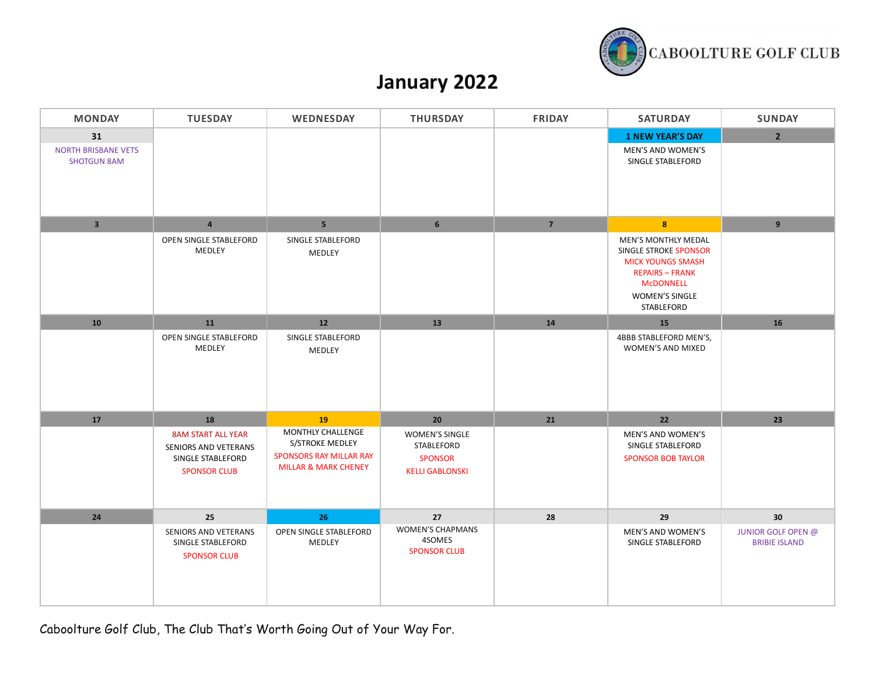

## **January 2022**

| <b>MONDAY</b>                                          | <b>TUESDAY</b>                                                                                | WEDNESDAY                                                                                                 | <b>THURSDAY</b>                                                                 | <b>FRIDAY</b>  | <b>SATURDAY</b>                                                                                                                                                      | <b>SUNDAY</b>                                     |
|--------------------------------------------------------|-----------------------------------------------------------------------------------------------|-----------------------------------------------------------------------------------------------------------|---------------------------------------------------------------------------------|----------------|----------------------------------------------------------------------------------------------------------------------------------------------------------------------|---------------------------------------------------|
| 31<br><b>NORTH BRISBANE VETS</b><br><b>SHOTGUN 8AM</b> |                                                                                               |                                                                                                           |                                                                                 |                | <b>1 NEW YEAR'S DAY</b><br>MEN'S AND WOMEN'S<br>SINGLE STABLEFORD                                                                                                    | $\overline{2}$                                    |
| $\overline{\mathbf{3}}$                                | $\overline{4}$                                                                                | 5 <sup>1</sup>                                                                                            | $\,$ 6 $\,$                                                                     | 7 <sup>7</sup> | 8 <sup>°</sup>                                                                                                                                                       | $\boldsymbol{9}$                                  |
|                                                        | OPEN SINGLE STABLEFORD<br>MEDLEY                                                              | SINGLE STABLEFORD<br>MEDLEY                                                                               |                                                                                 |                | <b>MEN'S MONTHLY MEDAL</b><br>SINGLE STROKE SPONSOR<br><b>MICK YOUNGS SMASH</b><br><b>REPAIRS - FRANK</b><br><b>MCDONNELL</b><br><b>WOMEN'S SINGLE</b><br>STABLEFORD |                                                   |
| 10                                                     | 11                                                                                            | 12                                                                                                        | 13                                                                              | ${\bf 14}$     | 15                                                                                                                                                                   | 16                                                |
|                                                        | OPEN SINGLE STABLEFORD<br>MEDLEY                                                              | SINGLE STABLEFORD<br>MEDLEY                                                                               |                                                                                 |                | 4BBB STABLEFORD MEN'S,<br>WOMEN'S AND MIXED                                                                                                                          |                                                   |
| 17                                                     | 18                                                                                            | 19                                                                                                        | 20                                                                              | 21             | 22                                                                                                                                                                   | 23                                                |
|                                                        | <b>8AM START ALL YEAR</b><br>SENIORS AND VETERANS<br>SINGLE STABLEFORD<br><b>SPONSOR CLUB</b> | MONTHLY CHALLENGE<br>S/STROKE MEDLEY<br><b>SPONSORS RAY MILLAR RAY</b><br><b>MILLAR &amp; MARK CHENEY</b> | <b>WOMEN'S SINGLE</b><br>STABLEFORD<br><b>SPONSOR</b><br><b>KELLI GABLONSKI</b> |                | MEN'S AND WOMEN'S<br>SINGLE STABLEFORD<br><b>SPONSOR BOB TAYLOR</b>                                                                                                  |                                                   |
| 24                                                     | 25                                                                                            | 26                                                                                                        | 27                                                                              | 28             | 29                                                                                                                                                                   | 30                                                |
|                                                        | SENIORS AND VETERANS<br>SINGLE STABLEFORD<br><b>SPONSOR CLUB</b>                              | OPEN SINGLE STABLEFORD<br>MEDLEY                                                                          | <b>WOMEN'S CHAPMANS</b><br>4SOMES<br><b>SPONSOR CLUB</b>                        |                | MEN'S AND WOMEN'S<br>SINGLE STABLEFORD                                                                                                                               | <b>JUNIOR GOLF OPEN @</b><br><b>BRIBIE ISLAND</b> |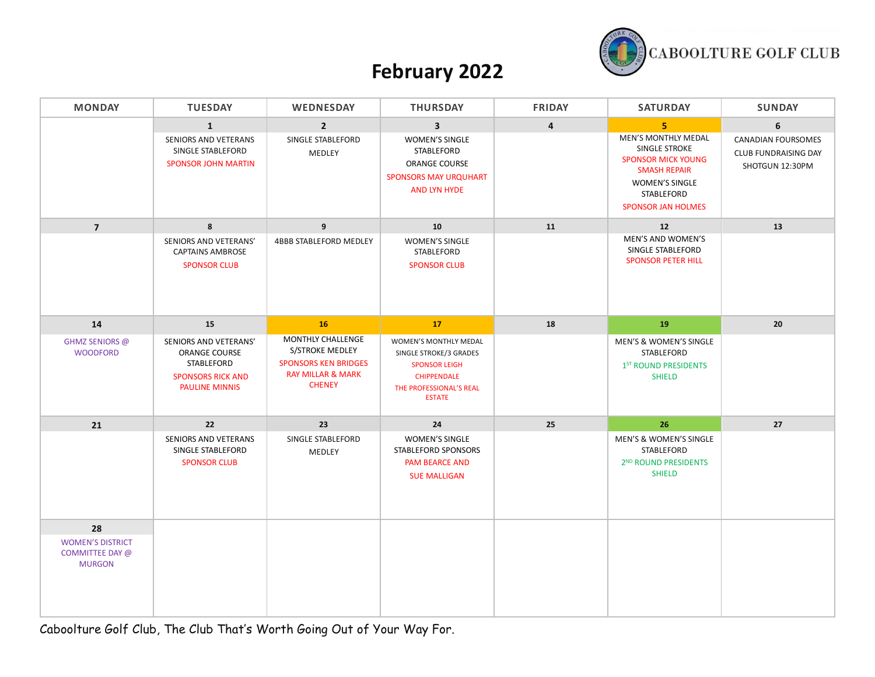

## **February 2022**

| <b>MONDAY</b>                                               | <b>TUESDAY</b>                                                                                                   | WEDNESDAY                                                                                                            | <b>THURSDAY</b>                                                                                                                               | <b>FRIDAY</b>           | <b>SATURDAY</b>                                                                                                                                                                | <b>SUNDAY</b>                                                             |
|-------------------------------------------------------------|------------------------------------------------------------------------------------------------------------------|----------------------------------------------------------------------------------------------------------------------|-----------------------------------------------------------------------------------------------------------------------------------------------|-------------------------|--------------------------------------------------------------------------------------------------------------------------------------------------------------------------------|---------------------------------------------------------------------------|
|                                                             | $\mathbf{1}$<br>SENIORS AND VETERANS<br>SINGLE STABLEFORD<br><b>SPONSOR JOHN MARTIN</b>                          | $\overline{2}$<br>SINGLE STABLEFORD<br>MEDLEY                                                                        | $\overline{\mathbf{3}}$<br><b>WOMEN'S SINGLE</b><br>STABLEFORD<br><b>ORANGE COURSE</b><br><b>SPONSORS MAY URQUHART</b><br><b>AND LYN HYDE</b> | $\overline{\mathbf{4}}$ | 5 <sup>1</sup><br>MEN'S MONTHLY MEDAL<br>SINGLE STROKE<br><b>SPONSOR MICK YOUNG</b><br><b>SMASH REPAIR</b><br><b>WOMEN'S SINGLE</b><br>STABLEFORD<br><b>SPONSOR JAN HOLMES</b> | 6<br><b>CANADIAN FOURSOMES</b><br>CLUB FUNDRAISING DAY<br>SHOTGUN 12:30PM |
| $\overline{7}$                                              | 8                                                                                                                | 9                                                                                                                    | ${\bf 10}$                                                                                                                                    | 11                      | $12\,$<br>MEN'S AND WOMEN'S                                                                                                                                                    | 13                                                                        |
|                                                             | SENIORS AND VETERANS'<br><b>CAPTAINS AMBROSE</b><br><b>SPONSOR CLUB</b>                                          | 4BBB STABLEFORD MEDLEY                                                                                               | <b>WOMEN'S SINGLE</b><br>STABLEFORD<br><b>SPONSOR CLUB</b>                                                                                    |                         | SINGLE STABLEFORD<br><b>SPONSOR PETER HILL</b>                                                                                                                                 |                                                                           |
| 14                                                          | 15                                                                                                               | <b>16</b>                                                                                                            | 17                                                                                                                                            | 18                      | 19                                                                                                                                                                             | 20                                                                        |
| <b>GHMZ SENIORS @</b><br><b>WOODFORD</b>                    | SENIORS AND VETERANS'<br><b>ORANGE COURSE</b><br>STABLEFORD<br><b>SPONSORS RICK AND</b><br><b>PAULINE MINNIS</b> | MONTHLY CHALLENGE<br>S/STROKE MEDLEY<br><b>SPONSORS KEN BRIDGES</b><br><b>RAY MILLAR &amp; MARK</b><br><b>CHENEY</b> | WOMEN'S MONTHLY MEDAL<br>SINGLE STROKE/3 GRADES<br><b>SPONSOR LEIGH</b><br><b>CHIPPENDALE</b><br>THE PROFESSIONAL'S REAL<br><b>ESTATE</b>     |                         | MEN'S & WOMEN'S SINGLE<br><b>STABLEFORD</b><br>1 <sup>ST</sup> ROUND PRESIDENTS<br><b>SHIELD</b>                                                                               |                                                                           |
| 21                                                          | 22                                                                                                               | 23                                                                                                                   | 24                                                                                                                                            | 25                      | 26                                                                                                                                                                             | 27                                                                        |
|                                                             | SENIORS AND VETERANS<br>SINGLE STABLEFORD<br><b>SPONSOR CLUB</b>                                                 | SINGLE STABLEFORD<br><b>MEDLEY</b>                                                                                   | <b>WOMEN'S SINGLE</b><br>STABLEFORD SPONSORS<br><b>PAM BEARCE AND</b><br><b>SUE MALLIGAN</b>                                                  |                         | MEN'S & WOMEN'S SINGLE<br>STABLEFORD<br>2 <sup>ND</sup> ROUND PRESIDENTS<br><b>SHIELD</b>                                                                                      |                                                                           |
| 28                                                          |                                                                                                                  |                                                                                                                      |                                                                                                                                               |                         |                                                                                                                                                                                |                                                                           |
| <b>WOMEN'S DISTRICT</b><br>COMMITTEE DAY @<br><b>MURGON</b> |                                                                                                                  |                                                                                                                      |                                                                                                                                               |                         |                                                                                                                                                                                |                                                                           |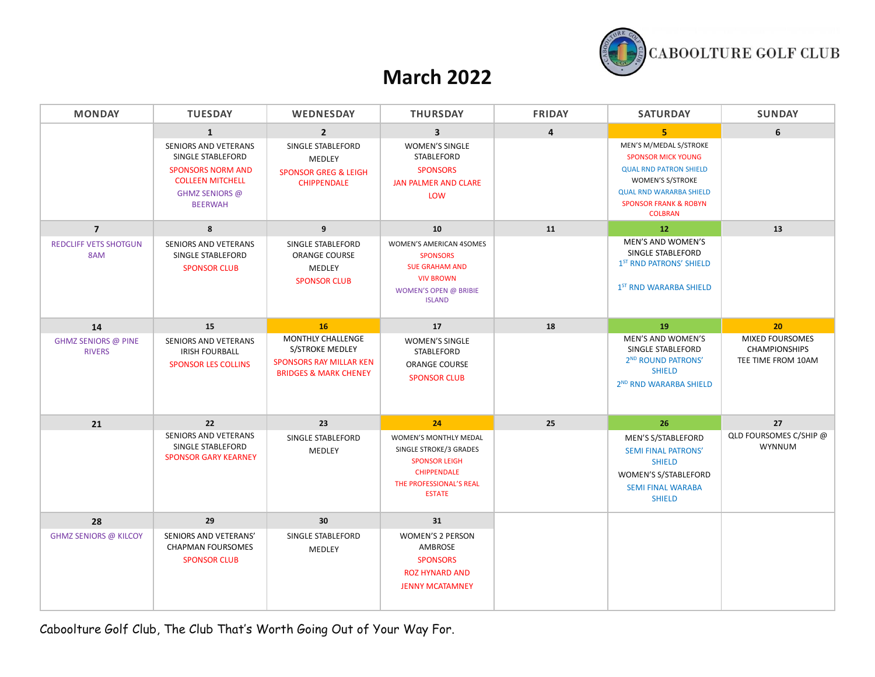

### **March 2022**

| <b>MONDAY</b>                               | <b>TUESDAY</b>                                                                                                                       | <b>WEDNESDAY</b>                                                                                           | <b>THURSDAY</b>                                                                                                                                  | <b>FRIDAY</b>           | <b>SATURDAY</b>                                                                                                                                                                                  | <b>SUNDAY</b>                                                        |
|---------------------------------------------|--------------------------------------------------------------------------------------------------------------------------------------|------------------------------------------------------------------------------------------------------------|--------------------------------------------------------------------------------------------------------------------------------------------------|-------------------------|--------------------------------------------------------------------------------------------------------------------------------------------------------------------------------------------------|----------------------------------------------------------------------|
|                                             | $\mathbf{1}$                                                                                                                         | $\overline{2}$                                                                                             | $\overline{\mathbf{3}}$                                                                                                                          | $\overline{\mathbf{4}}$ | 5                                                                                                                                                                                                | 6                                                                    |
|                                             | SENIORS AND VETERANS<br>SINGLE STABLEFORD<br><b>SPONSORS NORM AND</b><br><b>COLLEEN MITCHELL</b><br>GHMZ SENIORS @<br><b>BEERWAH</b> | SINGLE STABLEFORD<br>MEDLEY<br><b>SPONSOR GREG &amp; LEIGH</b><br><b>CHIPPENDALE</b>                       | <b>WOMEN'S SINGLE</b><br><b>STABLEFORD</b><br><b>SPONSORS</b><br>JAN PALMER AND CLARE<br>LOW                                                     |                         | MEN'S M/MEDAL S/STROKE<br><b>SPONSOR MICK YOUNG</b><br><b>QUAL RND PATRON SHIELD</b><br>WOMEN'S S/STROKE<br><b>QUAL RND WARARBA SHIELD</b><br><b>SPONSOR FRANK &amp; ROBYN</b><br><b>COLBRAN</b> |                                                                      |
| $\overline{7}$                              | 8                                                                                                                                    | 9                                                                                                          | 10                                                                                                                                               | 11                      | 12                                                                                                                                                                                               | 13                                                                   |
| <b>REDCLIFF VETS SHOTGUN</b><br>8AM         | <b>SENIORS AND VETERANS</b><br>SINGLE STABLEFORD<br><b>SPONSOR CLUB</b>                                                              | SINGLE STABLEFORD<br><b>ORANGE COURSE</b><br>MEDLEY<br><b>SPONSOR CLUB</b>                                 | WOMEN'S AMERICAN 4SOMES<br><b>SPONSORS</b><br><b>SUE GRAHAM AND</b><br><b>VIV BROWN</b><br><b>WOMEN'S OPEN @ BRIBIE</b><br><b>ISLAND</b>         |                         | MEN'S AND WOMEN'S<br>SINGLE STABLEFORD<br>1 <sup>ST</sup> RND PATRONS' SHIELD<br>1 <sup>ST</sup> RND WARARBA SHIELD                                                                              |                                                                      |
| 14                                          | 15                                                                                                                                   | 16                                                                                                         | 17                                                                                                                                               | 18                      | 19                                                                                                                                                                                               | 20                                                                   |
| <b>GHMZ SENIORS @ PINE</b><br><b>RIVERS</b> | SENIORS AND VETERANS<br><b>IRISH FOURBALL</b><br><b>SPONSOR LES COLLINS</b>                                                          | MONTHLY CHALLENGE<br>S/STROKE MEDLEY<br><b>SPONSORS RAY MILLAR KEN</b><br><b>BRIDGES &amp; MARK CHENEY</b> | <b>WOMEN'S SINGLE</b><br>STABLEFORD<br><b>ORANGE COURSE</b><br><b>SPONSOR CLUB</b>                                                               |                         | MEN'S AND WOMEN'S<br>SINGLE STABLEFORD<br>2 <sup>ND</sup> ROUND PATRONS'<br><b>SHIELD</b><br>2ND RND WARARBA SHIELD                                                                              | <b>MIXED FOURSOMES</b><br><b>CHAMPIONSHIPS</b><br>TEE TIME FROM 10AM |
| 21                                          | 22                                                                                                                                   | 23                                                                                                         | 24                                                                                                                                               | 25                      | 26                                                                                                                                                                                               | 27                                                                   |
|                                             | <b>SENIORS AND VETERANS</b><br>SINGLE STABLEFORD<br><b>SPONSOR GARY KEARNEY</b>                                                      | SINGLE STABLEFORD<br>MEDLEY                                                                                | <b>WOMEN'S MONTHLY MEDAL</b><br>SINGLE STROKE/3 GRADES<br><b>SPONSOR LEIGH</b><br><b>CHIPPENDALE</b><br>THE PROFESSIONAL'S REAL<br><b>ESTATE</b> |                         | MEN'S S/STABLEFORD<br><b>SEMI FINAL PATRONS'</b><br><b>SHIELD</b><br>WOMEN'S S/STABLEFORD<br><b>SEMI FINAL WARABA</b><br><b>SHIELD</b>                                                           | QLD FOURSOMES C/SHIP @<br><b>WYNNUM</b>                              |
| 28                                          | 29                                                                                                                                   | 30                                                                                                         | 31                                                                                                                                               |                         |                                                                                                                                                                                                  |                                                                      |
| <b>GHMZ SENIORS @ KILCOY</b>                | SENIORS AND VETERANS'<br><b>CHAPMAN FOURSOMES</b><br><b>SPONSOR CLUB</b>                                                             | SINGLE STABLEFORD<br>MEDLEY                                                                                | <b>WOMEN'S 2 PERSON</b><br>AMBROSE<br><b>SPONSORS</b><br><b>ROZ HYNARD AND</b><br><b>JENNY MCATAMNEY</b>                                         |                         |                                                                                                                                                                                                  |                                                                      |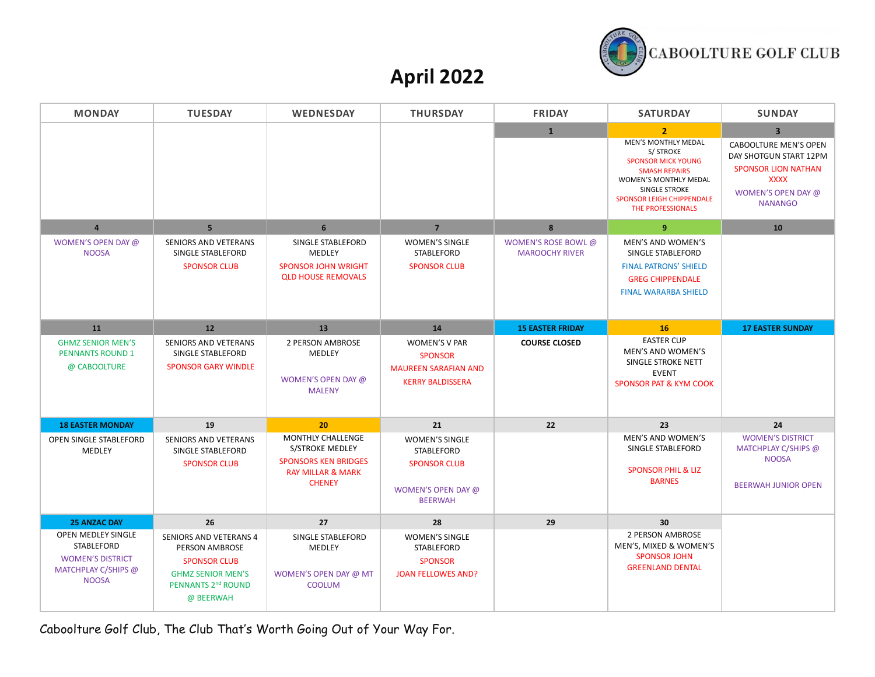

## **April 2022**

| <b>MONDAY</b>                                                                                             | <b>TUESDAY</b>                                                                                                                                           | <b>WEDNESDAY</b>                                                                                                     | <b>THURSDAY</b>                                                                                           | <b>FRIDAY</b>                                | <b>SATURDAY</b>                                                                                                                                                                                                  | <b>SUNDAY</b>                                                                                                                                                 |
|-----------------------------------------------------------------------------------------------------------|----------------------------------------------------------------------------------------------------------------------------------------------------------|----------------------------------------------------------------------------------------------------------------------|-----------------------------------------------------------------------------------------------------------|----------------------------------------------|------------------------------------------------------------------------------------------------------------------------------------------------------------------------------------------------------------------|---------------------------------------------------------------------------------------------------------------------------------------------------------------|
|                                                                                                           |                                                                                                                                                          |                                                                                                                      |                                                                                                           | $\mathbf{1}$                                 | $\overline{2}$<br><b>MEN'S MONTHLY MEDAL</b><br>S/STROKE<br><b>SPONSOR MICK YOUNG</b><br><b>SMASH REPAIRS</b><br>WOMEN'S MONTHLY MEDAL<br>SINGLE STROKE<br><b>SPONSOR LEIGH CHIPPENDALE</b><br>THE PROFESSIONALS | $\overline{3}$<br><b>CABOOLTURE MEN'S OPEN</b><br>DAY SHOTGUN START 12PM<br><b>SPONSOR LION NATHAN</b><br><b>XXXX</b><br>WOMEN'S OPEN DAY @<br><b>NANANGO</b> |
| $\overline{4}$                                                                                            | 5 <sup>5</sup>                                                                                                                                           | 6                                                                                                                    | $\overline{7}$                                                                                            | 8                                            | 9                                                                                                                                                                                                                | 10                                                                                                                                                            |
| WOMEN'S OPEN DAY @<br><b>NOOSA</b>                                                                        | <b>SENIORS AND VETERANS</b><br>SINGLE STABLEFORD<br><b>SPONSOR CLUB</b>                                                                                  | SINGLE STABLEFORD<br><b>MEDLEY</b><br><b>SPONSOR JOHN WRIGHT</b><br><b>QLD HOUSE REMOVALS</b>                        | <b>WOMEN'S SINGLE</b><br>STABLEFORD<br><b>SPONSOR CLUB</b>                                                | WOMEN'S ROSE BOWL @<br><b>MAROOCHY RIVER</b> | MEN'S AND WOMEN'S<br>SINGLE STABLEFORD<br><b>FINAL PATRONS' SHIELD</b><br><b>GREG CHIPPENDALE</b><br><b>FINAL WARARBA SHIELD</b>                                                                                 |                                                                                                                                                               |
| 11                                                                                                        | 12                                                                                                                                                       | 13                                                                                                                   | 14                                                                                                        | <b>15 EASTER FRIDAY</b>                      | 16                                                                                                                                                                                                               | <b>17 EASTER SUNDAY</b>                                                                                                                                       |
| <b>GHMZ SENIOR MEN'S</b><br><b>PENNANTS ROUND 1</b><br>@ CABOOLTURE                                       | <b>SENIORS AND VETERANS</b><br>SINGLE STABLEFORD<br><b>SPONSOR GARY WINDLE</b>                                                                           | 2 PERSON AMBROSE<br><b>MEDLEY</b><br>WOMEN'S OPEN DAY @<br><b>MALENY</b>                                             | <b>WOMEN'S V PAR</b><br><b>SPONSOR</b><br><b>MAUREEN SARAFIAN AND</b><br><b>KERRY BALDISSERA</b>          | <b>COURSE CLOSED</b>                         | <b>EASTER CUP</b><br>MEN'S AND WOMEN'S<br>SINGLE STROKE NETT<br><b>EVENT</b><br><b>SPONSOR PAT &amp; KYM COOK</b>                                                                                                |                                                                                                                                                               |
| <b>18 EASTER MONDAY</b>                                                                                   | 19                                                                                                                                                       | 20                                                                                                                   | 21                                                                                                        | 22                                           | 23                                                                                                                                                                                                               | 24                                                                                                                                                            |
| OPEN SINGLE STABLEFORD<br>MEDLEY                                                                          | SENIORS AND VETERANS<br>SINGLE STABLEFORD<br><b>SPONSOR CLUB</b>                                                                                         | MONTHLY CHALLENGE<br>S/STROKE MEDLEY<br><b>SPONSORS KEN BRIDGES</b><br><b>RAY MILLAR &amp; MARK</b><br><b>CHENEY</b> | <b>WOMEN'S SINGLE</b><br><b>STABLEFORD</b><br><b>SPONSOR CLUB</b><br>WOMEN'S OPEN DAY @<br><b>BEERWAH</b> |                                              | MEN'S AND WOMEN'S<br>SINGLE STABLEFORD<br><b>SPONSOR PHIL &amp; LIZ</b><br><b>BARNES</b>                                                                                                                         | <b>WOMEN'S DISTRICT</b><br>MATCHPLAY C/SHIPS @<br><b>NOOSA</b><br><b>BEERWAH JUNIOR OPEN</b>                                                                  |
| <b>25 ANZAC DAY</b>                                                                                       | 26                                                                                                                                                       | 27                                                                                                                   | 28                                                                                                        | 29                                           | 30                                                                                                                                                                                                               |                                                                                                                                                               |
| OPEN MEDLEY SINGLE<br><b>STABLEFORD</b><br><b>WOMEN'S DISTRICT</b><br>MATCHPLAY C/SHIPS @<br><b>NOOSA</b> | <b>SENIORS AND VETERANS 4</b><br><b>PERSON AMBROSE</b><br><b>SPONSOR CLUB</b><br><b>GHMZ SENIOR MEN'S</b><br>PENNANTS 2 <sup>nd</sup> ROUND<br>@ BEERWAH | SINGLE STABLEFORD<br>MEDLEY<br>WOMEN'S OPEN DAY @ MT<br><b>COOLUM</b>                                                | <b>WOMEN'S SINGLE</b><br><b>STABLEFORD</b><br><b>SPONSOR</b><br><b>JOAN FELLOWES AND?</b>                 |                                              | 2 PERSON AMBROSE<br>MEN'S, MIXED & WOMEN'S<br><b>SPONSOR JOHN</b><br><b>GREENLAND DENTAL</b>                                                                                                                     |                                                                                                                                                               |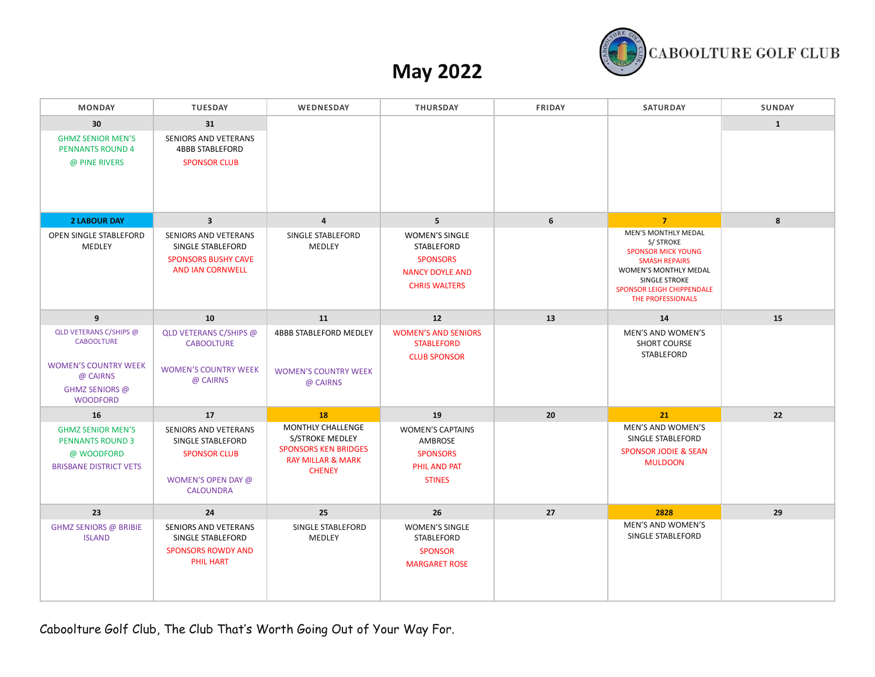

# **May 2022**

| <b>MONDAY</b>                                                                                                                      | <b>TUESDAY</b>                                                                                                                | WEDNESDAY                                                                                                                   | <b>THURSDAY</b>                                                                                                      | <b>FRIDAY</b> | <b>SATURDAY</b>                                                                                                                                                                                            | <b>SUNDAY</b> |
|------------------------------------------------------------------------------------------------------------------------------------|-------------------------------------------------------------------------------------------------------------------------------|-----------------------------------------------------------------------------------------------------------------------------|----------------------------------------------------------------------------------------------------------------------|---------------|------------------------------------------------------------------------------------------------------------------------------------------------------------------------------------------------------------|---------------|
| 30<br><b>GHMZ SENIOR MEN'S</b><br><b>PENNANTS ROUND 4</b><br>@ PINE RIVERS                                                         | 31<br>SENIORS AND VETERANS<br><b>4BBB STABLEFORD</b><br><b>SPONSOR CLUB</b>                                                   |                                                                                                                             |                                                                                                                      |               |                                                                                                                                                                                                            | $\mathbf{1}$  |
| <b>2 LABOUR DAY</b><br>OPEN SINGLE STABLEFORD<br>MEDLEY                                                                            | $\overline{\mathbf{3}}$<br>SENIORS AND VETERANS<br>SINGLE STABLEFORD<br><b>SPONSORS BUSHY CAVE</b><br><b>AND IAN CORNWELL</b> | $\overline{4}$<br>SINGLE STABLEFORD<br><b>MEDLEY</b>                                                                        | 5<br><b>WOMEN'S SINGLE</b><br><b>STABLEFORD</b><br><b>SPONSORS</b><br><b>NANCY DOYLE AND</b><br><b>CHRIS WALTERS</b> | 6             | $\overline{7}$<br>MEN'S MONTHLY MEDAL<br>S/ STROKE<br><b>SPONSOR MICK YOUNG</b><br><b>SMASH REPAIRS</b><br>WOMEN'S MONTHLY MEDAL<br>SINGLE STROKE<br><b>SPONSOR LEIGH CHIPPENDALE</b><br>THE PROFESSIONALS | 8             |
| $\overline{9}$                                                                                                                     | 10                                                                                                                            | 11                                                                                                                          | 12                                                                                                                   | 13            | 14                                                                                                                                                                                                         | 15            |
| QLD VETERANS C/SHIPS @<br><b>CABOOLTURE</b><br><b>WOMEN'S COUNTRY WEEK</b><br>@ CAIRNS<br><b>GHMZ SENIORS @</b><br><b>WOODFORD</b> | QLD VETERANS C/SHIPS @<br><b>CABOOLTURE</b><br><b>WOMEN'S COUNTRY WEEK</b><br>@ CAIRNS                                        | <b>4BBB STABLEFORD MEDLEY</b><br><b>WOMEN'S COUNTRY WEEK</b><br>@ CAIRNS                                                    | <b>WOMEN'S AND SENIORS</b><br><b>STABLEFORD</b><br><b>CLUB SPONSOR</b>                                               |               | MEN'S AND WOMEN'S<br><b>SHORT COURSE</b><br>STABLEFORD                                                                                                                                                     |               |
| 16                                                                                                                                 | 17                                                                                                                            | <b>18</b>                                                                                                                   | 19                                                                                                                   | 20            | 21                                                                                                                                                                                                         | 22            |
| <b>GHMZ SENIOR MEN'S</b><br><b>PENNANTS ROUND 3</b><br>@ WOODFORD<br><b>BRISBANE DISTRICT VETS</b>                                 | SENIORS AND VETERANS<br>SINGLE STABLEFORD<br><b>SPONSOR CLUB</b><br>WOMEN'S OPEN DAY @<br><b>CALOUNDRA</b>                    | <b>MONTHLY CHALLENGE</b><br>S/STROKE MEDLEY<br><b>SPONSORS KEN BRIDGES</b><br><b>RAY MILLAR &amp; MARK</b><br><b>CHENEY</b> | <b>WOMEN'S CAPTAINS</b><br>AMBROSE<br><b>SPONSORS</b><br>PHIL AND PAT<br><b>STINES</b>                               |               | MEN'S AND WOMEN'S<br>SINGLE STABLEFORD<br><b>SPONSOR JODIE &amp; SEAN</b><br><b>MULDOON</b>                                                                                                                |               |
| 23                                                                                                                                 | 24                                                                                                                            | 25                                                                                                                          | 26                                                                                                                   | 27            | 2828                                                                                                                                                                                                       | 29            |
| <b>GHMZ SENIORS @ BRIBIE</b><br><b>ISLAND</b>                                                                                      | SENIORS AND VETERANS<br>SINGLE STABLEFORD<br><b>SPONSORS ROWDY AND</b><br><b>PHIL HART</b>                                    | SINGLE STABLEFORD<br>MEDLEY                                                                                                 | <b>WOMEN'S SINGLE</b><br>STABLEFORD<br><b>SPONSOR</b><br><b>MARGARET ROSE</b>                                        |               | MEN'S AND WOMEN'S<br>SINGLE STABLEFORD                                                                                                                                                                     |               |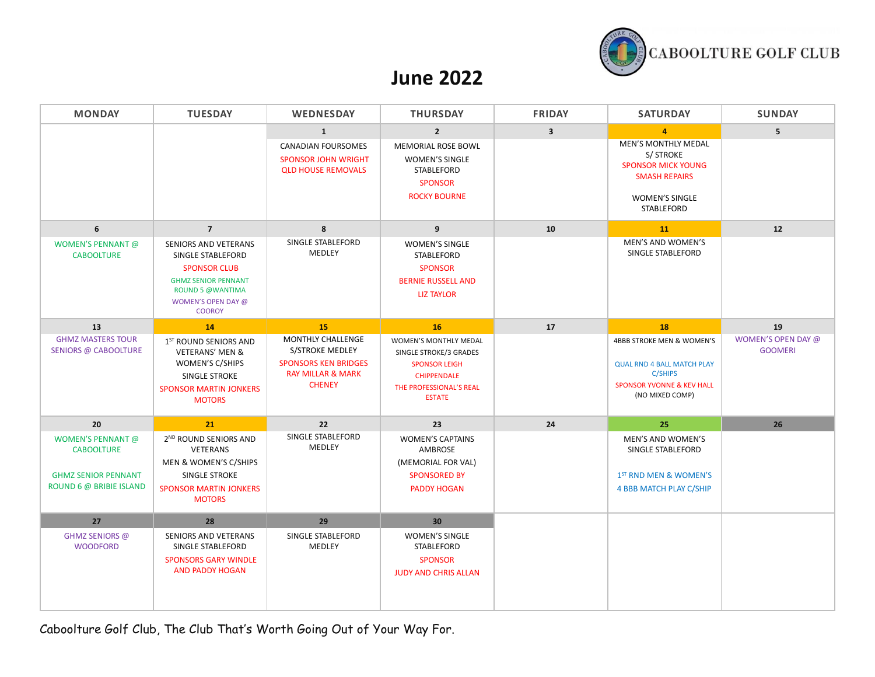

#### **June 2022**

| <b>MONDAY</b>                                                                                          | <b>TUESDAY</b>                                                                                                                                                   | <b>WEDNESDAY</b>                                                                                                            | <b>THURSDAY</b>                                                                                                                           | <b>FRIDAY</b>           | <b>SATURDAY</b>                                                                                                                             | <b>SUNDAY</b>                        |
|--------------------------------------------------------------------------------------------------------|------------------------------------------------------------------------------------------------------------------------------------------------------------------|-----------------------------------------------------------------------------------------------------------------------------|-------------------------------------------------------------------------------------------------------------------------------------------|-------------------------|---------------------------------------------------------------------------------------------------------------------------------------------|--------------------------------------|
|                                                                                                        |                                                                                                                                                                  | $\mathbf{1}$                                                                                                                | $\overline{2}$                                                                                                                            | $\overline{\mathbf{3}}$ | $\overline{a}$                                                                                                                              | 5 <sup>1</sup>                       |
|                                                                                                        |                                                                                                                                                                  | <b>CANADIAN FOURSOMES</b><br><b>SPONSOR JOHN WRIGHT</b><br><b>QLD HOUSE REMOVALS</b>                                        | <b>MEMORIAL ROSE BOWL</b><br><b>WOMEN'S SINGLE</b><br>STABLEFORD<br><b>SPONSOR</b><br><b>ROCKY BOURNE</b>                                 |                         | <b>MEN'S MONTHLY MEDAL</b><br>S/STROKE<br><b>SPONSOR MICK YOUNG</b><br><b>SMASH REPAIRS</b><br><b>WOMEN'S SINGLE</b><br><b>STABLEFORD</b>   |                                      |
| 6                                                                                                      | $\overline{7}$                                                                                                                                                   | 8                                                                                                                           | 9                                                                                                                                         | 10                      | <b>11</b>                                                                                                                                   | $12$                                 |
| <b>WOMEN'S PENNANT @</b><br><b>CABOOLTURE</b>                                                          | SENIORS AND VETERANS<br>SINGLE STABLEFORD<br><b>SPONSOR CLUB</b><br><b>GHMZ SENIOR PENNANT</b><br><b>ROUND 5 @WANTIMA</b><br>WOMEN'S OPEN DAY @<br><b>COOROY</b> | SINGLE STABLEFORD<br>MEDLEY                                                                                                 | <b>WOMEN'S SINGLE</b><br>STABLEFORD<br><b>SPONSOR</b><br><b>BERNIE RUSSELL AND</b><br><b>LIZ TAYLOR</b>                                   |                         | MEN'S AND WOMEN'S<br>SINGLE STABLEFORD                                                                                                      |                                      |
| 13                                                                                                     | 14                                                                                                                                                               | 15                                                                                                                          | 16                                                                                                                                        | 17                      | 18                                                                                                                                          | 19                                   |
| <b>GHMZ MASTERS TOUR</b><br>SENIORS @ CABOOLTURE                                                       | 1 <sup>ST</sup> ROUND SENIORS AND<br><b>VETERANS' MEN &amp;</b><br>WOMEN'S C/SHIPS<br>SINGLE STROKE<br><b>SPONSOR MARTIN JONKERS</b><br><b>MOTORS</b>            | <b>MONTHLY CHALLENGE</b><br>S/STROKE MEDLEY<br><b>SPONSORS KEN BRIDGES</b><br><b>RAY MILLAR &amp; MARK</b><br><b>CHENEY</b> | WOMEN'S MONTHLY MEDAL<br>SINGLE STROKE/3 GRADES<br><b>SPONSOR LEIGH</b><br><b>CHIPPENDALE</b><br>THE PROFESSIONAL'S REAL<br><b>ESTATE</b> |                         | 4BBB STROKE MEN & WOMEN'S<br><b>QUAL RND 4 BALL MATCH PLAY</b><br><b>C/SHIPS</b><br><b>SPONSOR YVONNE &amp; KEV HALL</b><br>(NO MIXED COMP) | WOMEN'S OPEN DAY @<br><b>GOOMERI</b> |
| 20                                                                                                     | 21                                                                                                                                                               | 22                                                                                                                          | 23                                                                                                                                        | 24                      | 25                                                                                                                                          | 26                                   |
| <b>WOMEN'S PENNANT @</b><br><b>CABOOLTURE</b><br><b>GHMZ SENIOR PENNANT</b><br>ROUND 6 @ BRIBIE ISLAND | 2 <sup>ND</sup> ROUND SENIORS AND<br>VETERANS<br>MEN & WOMEN'S C/SHIPS<br>SINGLE STROKE<br><b>SPONSOR MARTIN JONKERS</b><br><b>MOTORS</b>                        | SINGLE STABLEFORD<br>MEDLEY                                                                                                 | <b>WOMEN'S CAPTAINS</b><br>AMBROSE<br>(MEMORIAL FOR VAL)<br><b>SPONSORED BY</b><br><b>PADDY HOGAN</b>                                     |                         | MEN'S AND WOMEN'S<br>SINGLE STABLEFORD<br>1 <sup>ST</sup> RND MEN & WOMEN'S<br>4 BBB MATCH PLAY C/SHIP                                      |                                      |
| 27                                                                                                     | 28                                                                                                                                                               | 29                                                                                                                          | 30                                                                                                                                        |                         |                                                                                                                                             |                                      |
| GHMZ SENIORS @<br><b>WOODFORD</b>                                                                      | SENIORS AND VETERANS<br>SINGLE STABLEFORD<br><b>SPONSORS GARY WINDLE</b><br>AND PADDY HOGAN                                                                      | SINGLE STABLEFORD<br>MEDLEY                                                                                                 | <b>WOMEN'S SINGLE</b><br>STABLEFORD<br><b>SPONSOR</b><br><b>JUDY AND CHRIS ALLAN</b>                                                      |                         |                                                                                                                                             |                                      |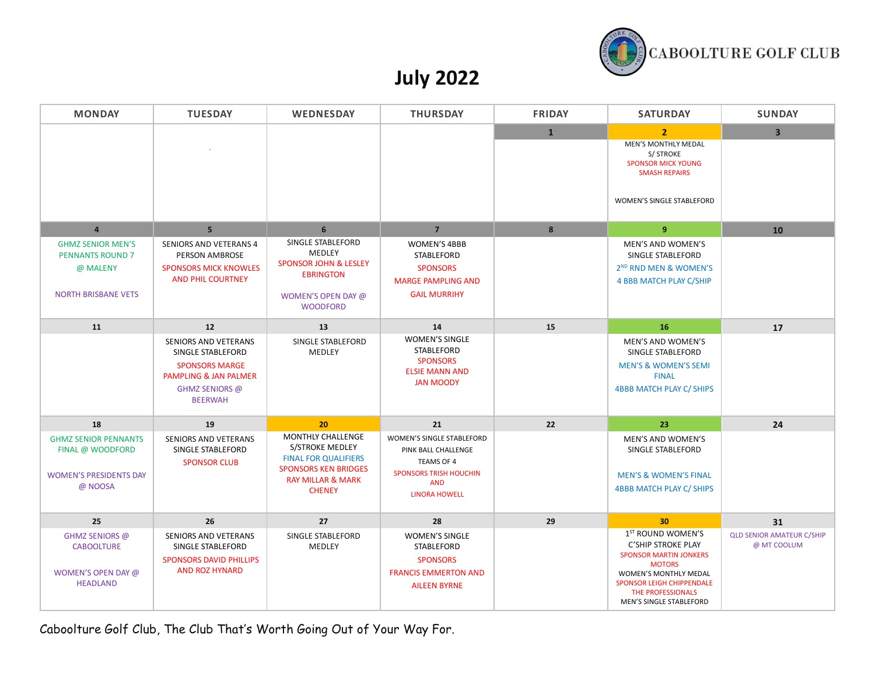

# **July 2022**

| <b>MONDAY</b>                                                                                 | <b>TUESDAY</b>                                                                                                                         | WEDNESDAY                                                                                                                                           | <b>THURSDAY</b>                                                                                                                       | <b>FRIDAY</b> | <b>SATURDAY</b>                                                                                                                                                                                                           | <b>SUNDAY</b>                                   |
|-----------------------------------------------------------------------------------------------|----------------------------------------------------------------------------------------------------------------------------------------|-----------------------------------------------------------------------------------------------------------------------------------------------------|---------------------------------------------------------------------------------------------------------------------------------------|---------------|---------------------------------------------------------------------------------------------------------------------------------------------------------------------------------------------------------------------------|-------------------------------------------------|
|                                                                                               |                                                                                                                                        |                                                                                                                                                     |                                                                                                                                       | 1             | $\overline{2}$<br>MEN'S MONTHLY MEDAL<br>S/ STROKE<br><b>SPONSOR MICK YOUNG</b><br><b>SMASH REPAIRS</b><br>WOMEN'S SINGLE STABLEFORD                                                                                      | $\overline{\mathbf{3}}$                         |
| $\overline{a}$                                                                                | 5 <sup>5</sup>                                                                                                                         | 6                                                                                                                                                   | $\overline{7}$                                                                                                                        | 8             | 9                                                                                                                                                                                                                         | 10                                              |
| <b>GHMZ SENIOR MEN'S</b><br><b>PENNANTS ROUND 7</b><br>@ MALENY<br><b>NORTH BRISBANE VETS</b> | <b>SENIORS AND VETERANS 4</b><br>PERSON AMBROSE<br><b>SPONSORS MICK KNOWLES</b><br><b>AND PHIL COURTNEY</b>                            | SINGLE STABLEFORD<br>MEDLEY<br><b>SPONSOR JOHN &amp; LESLEY</b><br><b>EBRINGTON</b><br>WOMEN'S OPEN DAY @<br><b>WOODFORD</b>                        | <b>WOMEN'S 4BBB</b><br>STABLEFORD<br><b>SPONSORS</b><br><b>MARGE PAMPLING AND</b><br><b>GAIL MURRIHY</b>                              |               | <b>MEN'S AND WOMEN'S</b><br>SINGLE STABLEFORD<br>2 <sup>ND</sup> RND MEN & WOMEN'S<br>4 BBB MATCH PLAY C/SHIP                                                                                                             |                                                 |
| 11                                                                                            | 12                                                                                                                                     | 13                                                                                                                                                  | 14                                                                                                                                    | 15            | 16                                                                                                                                                                                                                        | 17                                              |
|                                                                                               | <b>SENIORS AND VETERANS</b><br>SINGLE STABLEFORD<br><b>SPONSORS MARGE</b><br>PAMPLING & JAN PALMER<br>GHMZ SENIORS @<br><b>BEERWAH</b> | SINGLE STABLEFORD<br>MEDLEY                                                                                                                         | <b>WOMEN'S SINGLE</b><br><b>STABLEFORD</b><br><b>SPONSORS</b><br><b>ELSIE MANN AND</b><br><b>JAN MOODY</b>                            |               | MEN'S AND WOMEN'S<br>SINGLE STABLEFORD<br><b>MEN'S &amp; WOMEN'S SEMI</b><br><b>FINAL</b><br><b>4BBB MATCH PLAY C/ SHIPS</b>                                                                                              |                                                 |
| 18                                                                                            | 19                                                                                                                                     | 20                                                                                                                                                  | 21                                                                                                                                    | 22            | 23                                                                                                                                                                                                                        | 24                                              |
| <b>GHMZ SENIOR PENNANTS</b><br>FINAL @ WOODFORD<br><b>WOMEN'S PRESIDENTS DAY</b><br>@ NOOSA   | <b>SENIORS AND VETERANS</b><br>SINGLE STABLEFORD<br><b>SPONSOR CLUB</b>                                                                | MONTHLY CHALLENGE<br>S/STROKE MEDLEY<br><b>FINAL FOR QUALIFIERS</b><br><b>SPONSORS KEN BRIDGES</b><br><b>RAY MILLAR &amp; MARK</b><br><b>CHENEY</b> | WOMEN'S SINGLE STABLEFORD<br>PINK BALL CHALLENGE<br>TEAMS OF 4<br><b>SPONSORS TRISH HOUCHIN</b><br><b>AND</b><br><b>LINORA HOWELL</b> |               | <b>MEN'S AND WOMEN'S</b><br>SINGLE STABLEFORD<br><b>MEN'S &amp; WOMEN'S FINAL</b><br><b>4BBB MATCH PLAY C/ SHIPS</b>                                                                                                      |                                                 |
| 25                                                                                            | 26                                                                                                                                     | 27                                                                                                                                                  | 28                                                                                                                                    | 29            | 30 <sub>2</sub>                                                                                                                                                                                                           | 31                                              |
| <b>GHMZ SENIORS @</b><br><b>CABOOLTURE</b><br>WOMEN'S OPEN DAY @<br><b>HEADLAND</b>           | SENIORS AND VETERANS<br>SINGLE STABLEFORD<br><b>SPONSORS DAVID PHILLIPS</b><br><b>AND ROZ HYNARD</b>                                   | SINGLE STABLEFORD<br>MEDLEY                                                                                                                         | <b>WOMEN'S SINGLE</b><br>STABLEFORD<br><b>SPONSORS</b><br><b>FRANCIS EMMERTON AND</b><br><b>AILEEN BYRNE</b>                          |               | 1 <sup>ST</sup> ROUND WOMEN'S<br>C'SHIP STROKE PLAY<br><b>SPONSOR MARTIN JONKERS</b><br><b>MOTORS</b><br><b>WOMEN'S MONTHLY MEDAL</b><br><b>SPONSOR LEIGH CHIPPENDALE</b><br>THE PROFESSIONALS<br>MEN'S SINGLE STABLEFORD | <b>QLD SENIOR AMATEUR C/SHIP</b><br>@ MT COOLUM |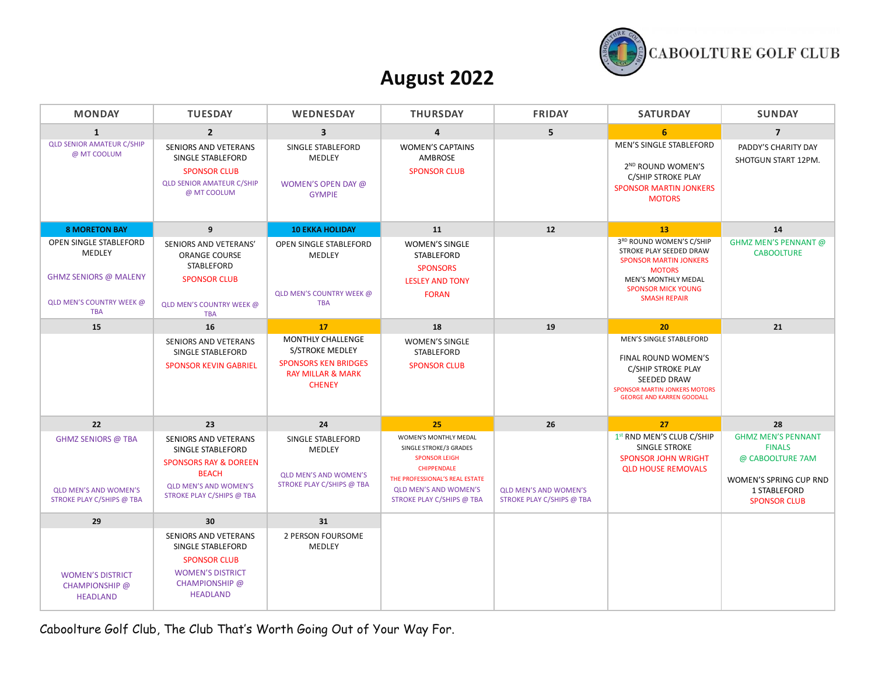

#### **August 2022**

| <b>MONDAY</b>                                                                                                     | <b>TUESDAY</b>                                                                                                                                             | <b>WEDNESDAY</b>                                                                                                     | <b>THURSDAY</b>                                                                                                                                                                              | <b>FRIDAY</b>                                             | <b>SATURDAY</b>                                                                                                                                                                         | <b>SUNDAY</b>                                                                                                                   |
|-------------------------------------------------------------------------------------------------------------------|------------------------------------------------------------------------------------------------------------------------------------------------------------|----------------------------------------------------------------------------------------------------------------------|----------------------------------------------------------------------------------------------------------------------------------------------------------------------------------------------|-----------------------------------------------------------|-----------------------------------------------------------------------------------------------------------------------------------------------------------------------------------------|---------------------------------------------------------------------------------------------------------------------------------|
| $\mathbf{1}$                                                                                                      | $\overline{2}$                                                                                                                                             | $\overline{\mathbf{3}}$                                                                                              | $\overline{4}$                                                                                                                                                                               | 5                                                         | 6                                                                                                                                                                                       | $\overline{7}$                                                                                                                  |
| <b>QLD SENIOR AMATEUR C/SHIP</b><br>@ MT COOLUM                                                                   | SENIORS AND VETERANS<br>SINGLE STABLEFORD<br><b>SPONSOR CLUB</b><br><b>QLD SENIOR AMATEUR C/SHIP</b><br>@ MT COOLUM                                        | SINGLE STABLEFORD<br><b>MEDLEY</b><br>WOMEN'S OPEN DAY @<br><b>GYMPIE</b>                                            | <b>WOMEN'S CAPTAINS</b><br><b>AMBROSE</b><br><b>SPONSOR CLUB</b>                                                                                                                             |                                                           | MEN'S SINGLE STABLEFORD<br>2 <sup>ND</sup> ROUND WOMEN'S<br>C/SHIP STROKE PLAY<br><b>SPONSOR MARTIN JONKERS</b><br><b>MOTORS</b>                                                        | PADDY'S CHARITY DAY<br>SHOTGUN START 12PM.                                                                                      |
| <b>8 MORETON BAY</b>                                                                                              | 9                                                                                                                                                          | <b>10 EKKA HOLIDAY</b>                                                                                               | 11                                                                                                                                                                                           | 12                                                        | 13                                                                                                                                                                                      | 14                                                                                                                              |
| OPEN SINGLE STABLEFORD<br>MEDLEY<br><b>GHMZ SENIORS @ MALENY</b><br><b>QLD MEN'S COUNTRY WEEK @</b><br><b>TBA</b> | SENIORS AND VETERANS'<br><b>ORANGE COURSE</b><br>STABLEFORD<br><b>SPONSOR CLUB</b><br><b>QLD MEN'S COUNTRY WEEK @</b><br><b>TBA</b>                        | OPEN SINGLE STABLEFORD<br><b>MEDLEY</b><br>QLD MEN'S COUNTRY WEEK @<br><b>TBA</b>                                    | <b>WOMEN'S SINGLE</b><br><b>STABLEFORD</b><br><b>SPONSORS</b><br><b>LESLEY AND TONY</b><br><b>FORAN</b>                                                                                      |                                                           | 3RD ROUND WOMEN'S C/SHIP<br>STROKE PLAY SEEDED DRAW<br><b>SPONSOR MARTIN JONKERS</b><br><b>MOTORS</b><br><b>MEN'S MONTHLY MEDAL</b><br><b>SPONSOR MICK YOUNG</b><br><b>SMASH REPAIR</b> | GHMZ MEN'S PENNANT @<br><b>CABOOLTURE</b>                                                                                       |
| 15                                                                                                                | 16                                                                                                                                                         | 17                                                                                                                   | 18                                                                                                                                                                                           | 19                                                        | 20                                                                                                                                                                                      | 21                                                                                                                              |
|                                                                                                                   | SENIORS AND VETERANS<br>SINGLE STABLEFORD<br><b>SPONSOR KEVIN GABRIEL</b>                                                                                  | MONTHLY CHALLENGE<br>S/STROKE MEDLEY<br><b>SPONSORS KEN BRIDGES</b><br><b>RAY MILLAR &amp; MARK</b><br><b>CHENEY</b> | <b>WOMEN'S SINGLE</b><br>STABLEFORD<br><b>SPONSOR CLUB</b>                                                                                                                                   |                                                           | MEN'S SINGLE STABLEFORD<br>FINAL ROUND WOMEN'S<br>C/SHIP STROKE PLAY<br><b>SEEDED DRAW</b><br><b>SPONSOR MARTIN JONKERS MOTORS</b><br><b>GEORGE AND KARREN GOODALL</b>                  |                                                                                                                                 |
| 22                                                                                                                | 23                                                                                                                                                         | 24                                                                                                                   | 25                                                                                                                                                                                           | 26                                                        | 27                                                                                                                                                                                      | 28                                                                                                                              |
| <b>GHMZ SENIORS @ TBA</b><br><b>QLD MEN'S AND WOMEN'S</b><br>STROKE PLAY C/SHIPS @ TBA                            | SENIORS AND VETERANS<br>SINGLE STABLEFORD<br><b>SPONSORS RAY &amp; DOREEN</b><br><b>BEACH</b><br><b>QLD MEN'S AND WOMEN'S</b><br>STROKE PLAY C/SHIPS @ TBA | SINGLE STABLEFORD<br>MEDLEY<br><b>QLD MEN'S AND WOMEN'S</b><br>STROKE PLAY C/SHIPS @ TBA                             | WOMEN'S MONTHLY MEDAL<br>SINGLE STROKE/3 GRADES<br><b>SPONSOR LEIGH</b><br><b>CHIPPENDALE</b><br>THE PROFESSIONAL'S REAL ESTATE<br><b>QLD MEN'S AND WOMEN'S</b><br>STROKE PLAY C/SHIPS @ TBA | <b>QLD MEN'S AND WOMEN'S</b><br>STROKE PLAY C/SHIPS @ TBA | 1st RND MEN'S CLUB C/SHIP<br>SINGLE STROKE<br><b>SPONSOR JOHN WRIGHT</b><br><b>QLD HOUSE REMOVALS</b>                                                                                   | <b>GHMZ MEN'S PENNANT</b><br><b>FINALS</b><br>@ CABOOLTURE 7AM<br>WOMEN'S SPRING CUP RND<br>1 STABLEFORD<br><b>SPONSOR CLUB</b> |
| 29                                                                                                                | 30                                                                                                                                                         | 31                                                                                                                   |                                                                                                                                                                                              |                                                           |                                                                                                                                                                                         |                                                                                                                                 |
| <b>WOMEN'S DISTRICT</b><br>CHAMPIONSHIP @<br><b>HEADLAND</b>                                                      | <b>SENIORS AND VETERANS</b><br>SINGLE STABLEFORD<br><b>SPONSOR CLUB</b><br><b>WOMEN'S DISTRICT</b><br>CHAMPIONSHIP @<br><b>HEADLAND</b>                    | 2 PERSON FOURSOME<br>MEDLEY                                                                                          |                                                                                                                                                                                              |                                                           |                                                                                                                                                                                         |                                                                                                                                 |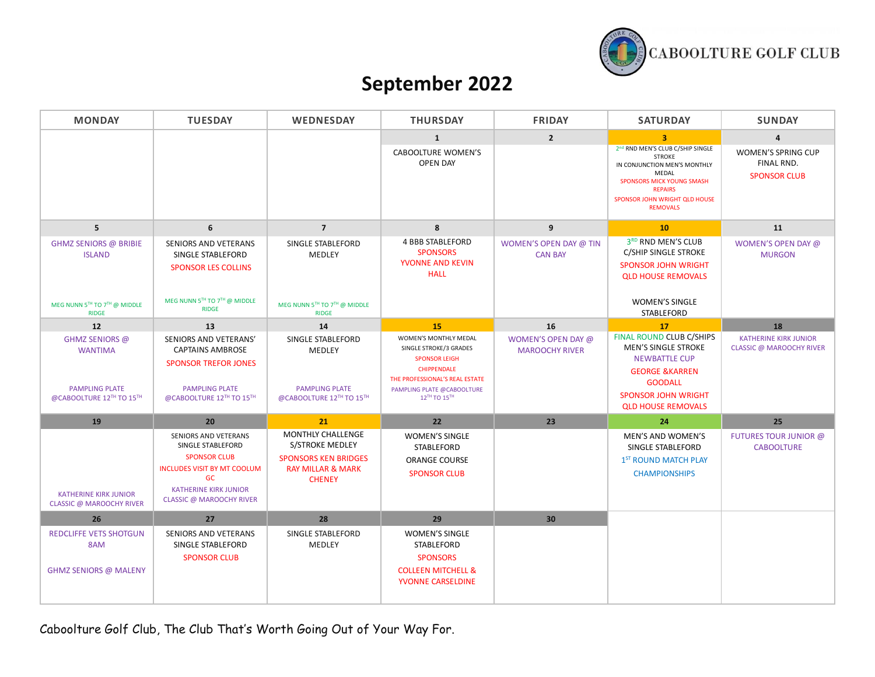

## **September 2022**

| <b>MONDAY</b>                                                                         | <b>TUESDAY</b>                                                                                                                                                                  | WEDNESDAY                                                                                                            | <b>THURSDAY</b>                                                                                                                                                               | <b>FRIDAY</b>                               | <b>SATURDAY</b>                                                                                                                                                                                      | <b>SUNDAY</b>                                                   |
|---------------------------------------------------------------------------------------|---------------------------------------------------------------------------------------------------------------------------------------------------------------------------------|----------------------------------------------------------------------------------------------------------------------|-------------------------------------------------------------------------------------------------------------------------------------------------------------------------------|---------------------------------------------|------------------------------------------------------------------------------------------------------------------------------------------------------------------------------------------------------|-----------------------------------------------------------------|
|                                                                                       |                                                                                                                                                                                 |                                                                                                                      | $\mathbf{1}$                                                                                                                                                                  | $\overline{2}$                              | $\overline{\mathbf{3}}$                                                                                                                                                                              | $\overline{\mathbf{4}}$                                         |
|                                                                                       |                                                                                                                                                                                 |                                                                                                                      | <b>CABOOLTURE WOMEN'S</b><br><b>OPEN DAY</b>                                                                                                                                  |                                             | 2nd RND MEN'S CLUB C/SHIP SINGLE<br><b>STROKE</b><br>IN CONJUNCTION MEN'S MONTHLY<br>MEDAL<br><b>SPONSORS MICK YOUNG SMASH</b><br><b>REPAIRS</b><br>SPONSOR JOHN WRIGHT QLD HOUSE<br><b>REMOVALS</b> | WOMEN'S SPRING CUP<br>FINAL RND.<br><b>SPONSOR CLUB</b>         |
| 5 <sup>1</sup>                                                                        | 6                                                                                                                                                                               | $\overline{7}$                                                                                                       | 8                                                                                                                                                                             | 9                                           | 10                                                                                                                                                                                                   | 11                                                              |
| <b>GHMZ SENIORS @ BRIBIE</b><br><b>ISLAND</b>                                         | SENIORS AND VETERANS<br>SINGLE STABLEFORD<br><b>SPONSOR LES COLLINS</b><br>MEG NUNN 5TH TO 7TH @ MIDDLE                                                                         | SINGLE STABLEFORD<br>MEDLEY                                                                                          | <b>4 BBB STABLEFORD</b><br><b>SPONSORS</b><br>YVONNE AND KEVIN<br><b>HALL</b>                                                                                                 | WOMEN'S OPEN DAY @ TIN<br><b>CAN BAY</b>    | 3RD RND MEN'S CLUB<br>C/SHIP SINGLE STROKE<br><b>SPONSOR JOHN WRIGHT</b><br><b>QLD HOUSE REMOVALS</b>                                                                                                | WOMEN'S OPEN DAY @<br><b>MURGON</b>                             |
| MEG NUNN 5TH TO 7TH @ MIDDLE<br><b>RIDGE</b>                                          | <b>RIDGE</b>                                                                                                                                                                    | MEG NUNN 5TH TO 7TH @ MIDDLE<br><b>RIDGE</b>                                                                         |                                                                                                                                                                               |                                             | <b>WOMEN'S SINGLE</b><br><b>STABLEFORD</b>                                                                                                                                                           |                                                                 |
| 12                                                                                    | 13                                                                                                                                                                              | 14                                                                                                                   | 15                                                                                                                                                                            | 16                                          | 17                                                                                                                                                                                                   | 18                                                              |
| GHMZ SENIORS @<br><b>WANTIMA</b><br><b>PAMPLING PLATE</b><br>@CABOOLTURE 12TH TO 15TH | SENIORS AND VETERANS'<br><b>CAPTAINS AMBROSE</b><br><b>SPONSOR TREFOR JONES</b><br><b>PAMPLING PLATE</b><br>@CABOOLTURE 12TH TO 15TH                                            | SINGLE STABLEFORD<br>MEDLEY<br><b>PAMPLING PLATE</b><br>@CABOOLTURE 12TH TO 15TH                                     | WOMEN'S MONTHLY MEDAL<br>SINGLE STROKE/3 GRADES<br><b>SPONSOR LEIGH</b><br><b>CHIPPENDALE</b><br>THE PROFESSIONAL'S REAL ESTATE<br>PAMPLING PLATE @CABOOLTURE<br>12TH TO 15TH | WOMEN'S OPEN DAY @<br><b>MAROOCHY RIVER</b> | FINAL ROUND CLUB C/SHIPS<br><b>MEN'S SINGLE STROKE</b><br><b>NEWBATTLE CUP</b><br><b>GEORGE &amp;KARREN</b><br><b>GOODALL</b><br><b>SPONSOR JOHN WRIGHT</b><br><b>QLD HOUSE REMOVALS</b>             | <b>KATHERINE KIRK JUNIOR</b><br><b>CLASSIC @ MAROOCHY RIVER</b> |
| 19                                                                                    | 20                                                                                                                                                                              | 21                                                                                                                   | 22                                                                                                                                                                            | 23                                          | 24                                                                                                                                                                                                   | 25                                                              |
| <b>KATHERINE KIRK JUNIOR</b><br><b>CLASSIC @ MAROOCHY RIVER</b>                       | SENIORS AND VETERANS<br>SINGLE STABLEFORD<br><b>SPONSOR CLUB</b><br><b>INCLUDES VISIT BY MT COOLUM</b><br>GC<br><b>KATHERINE KIRK JUNIOR</b><br><b>CLASSIC @ MAROOCHY RIVER</b> | MONTHLY CHALLENGE<br>S/STROKE MEDLEY<br><b>SPONSORS KEN BRIDGES</b><br><b>RAY MILLAR &amp; MARK</b><br><b>CHENEY</b> | <b>WOMEN'S SINGLE</b><br>STABLEFORD<br><b>ORANGE COURSE</b><br><b>SPONSOR CLUB</b>                                                                                            |                                             | MEN'S AND WOMEN'S<br>SINGLE STABLEFORD<br>1 <sup>ST</sup> ROUND MATCH PLAY<br><b>CHAMPIONSHIPS</b>                                                                                                   | FUTURES TOUR JUNIOR @<br><b>CABOOLTURE</b>                      |
| 26                                                                                    | 27                                                                                                                                                                              | 28                                                                                                                   | 29                                                                                                                                                                            | 30                                          |                                                                                                                                                                                                      |                                                                 |
| <b>REDCLIFFE VETS SHOTGUN</b><br>8AM<br><b>GHMZ SENIORS @ MALENY</b>                  | <b>SENIORS AND VETERANS</b><br>SINGLE STABLEFORD<br><b>SPONSOR CLUB</b>                                                                                                         | SINGLE STABLEFORD<br>MEDLEY                                                                                          | <b>WOMEN'S SINGLE</b><br>STABLEFORD<br><b>SPONSORS</b><br><b>COLLEEN MITCHELL &amp;</b><br><b>YVONNE CARSELDINE</b>                                                           |                                             |                                                                                                                                                                                                      |                                                                 |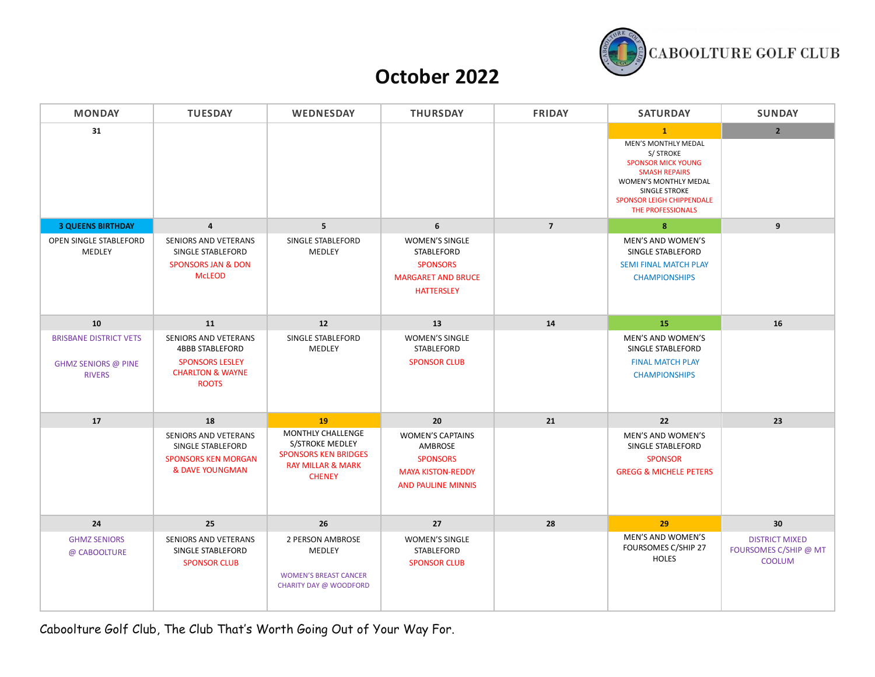

### **October 2022**

| <b>MONDAY</b>                                                                | <b>TUESDAY</b>                                                                                                                 | WEDNESDAY                                                                                                            | <b>THURSDAY</b>                                                                                                | <b>FRIDAY</b>  | <b>SATURDAY</b>                                                                                                                                                                                                 | <b>SUNDAY</b>                                                   |
|------------------------------------------------------------------------------|--------------------------------------------------------------------------------------------------------------------------------|----------------------------------------------------------------------------------------------------------------------|----------------------------------------------------------------------------------------------------------------|----------------|-----------------------------------------------------------------------------------------------------------------------------------------------------------------------------------------------------------------|-----------------------------------------------------------------|
| 31                                                                           |                                                                                                                                |                                                                                                                      |                                                                                                                |                | $\mathbf{1}$<br><b>MEN'S MONTHLY MEDAL</b><br>S/ STROKE<br><b>SPONSOR MICK YOUNG</b><br><b>SMASH REPAIRS</b><br>WOMEN'S MONTHLY MEDAL<br>SINGLE STROKE<br><b>SPONSOR LEIGH CHIPPENDALE</b><br>THE PROFESSIONALS | $\overline{2}$                                                  |
| <b>3 QUEENS BIRTHDAY</b>                                                     | $\overline{4}$                                                                                                                 | 5 <sup>5</sup>                                                                                                       | 6                                                                                                              | $\overline{7}$ | $\boldsymbol{8}$                                                                                                                                                                                                | 9                                                               |
| OPEN SINGLE STABLEFORD<br>MEDLEY                                             | SENIORS AND VETERANS<br>SINGLE STABLEFORD<br><b>SPONSORS JAN &amp; DON</b><br><b>McLEOD</b>                                    | SINGLE STABLEFORD<br>MEDLEY                                                                                          | <b>WOMEN'S SINGLE</b><br>STABLEFORD<br><b>SPONSORS</b><br><b>MARGARET AND BRUCE</b><br><b>HATTERSLEY</b>       |                | MEN'S AND WOMEN'S<br>SINGLE STABLEFORD<br><b>SEMI FINAL MATCH PLAY</b><br><b>CHAMPIONSHIPS</b>                                                                                                                  |                                                                 |
| 10                                                                           | 11                                                                                                                             | 12                                                                                                                   | 13                                                                                                             | 14             | 15                                                                                                                                                                                                              | 16                                                              |
| <b>BRISBANE DISTRICT VETS</b><br><b>GHMZ SENIORS @ PINE</b><br><b>RIVERS</b> | <b>SENIORS AND VETERANS</b><br><b>4BBB STABLEFORD</b><br><b>SPONSORS LESLEY</b><br><b>CHARLTON &amp; WAYNE</b><br><b>ROOTS</b> | SINGLE STABLEFORD<br>MEDLEY                                                                                          | <b>WOMEN'S SINGLE</b><br>STABLEFORD<br><b>SPONSOR CLUB</b>                                                     |                | <b>MEN'S AND WOMEN'S</b><br>SINGLE STABLEFORD<br><b>FINAL MATCH PLAY</b><br><b>CHAMPIONSHIPS</b>                                                                                                                |                                                                 |
| 17                                                                           | 18                                                                                                                             | 19                                                                                                                   | 20                                                                                                             | 21             | 22                                                                                                                                                                                                              | 23                                                              |
|                                                                              | <b>SENIORS AND VETERANS</b><br>SINGLE STABLEFORD<br><b>SPONSORS KEN MORGAN</b><br><b>&amp; DAVE YOUNGMAN</b>                   | MONTHLY CHALLENGE<br>S/STROKE MEDLEY<br><b>SPONSORS KEN BRIDGES</b><br><b>RAY MILLAR &amp; MARK</b><br><b>CHENEY</b> | <b>WOMEN'S CAPTAINS</b><br>AMBROSE<br><b>SPONSORS</b><br><b>MAYA KISTON-REDDY</b><br><b>AND PAULINE MINNIS</b> |                | <b>MEN'S AND WOMEN'S</b><br>SINGLE STABLEFORD<br><b>SPONSOR</b><br><b>GREGG &amp; MICHELE PETERS</b>                                                                                                            |                                                                 |
| 24                                                                           | 25                                                                                                                             | 26                                                                                                                   | 27                                                                                                             | 28             | 29                                                                                                                                                                                                              | 30                                                              |
| <b>GHMZ SENIORS</b><br>@ CABOOLTURE                                          | SENIORS AND VETERANS<br>SINGLE STABLEFORD<br><b>SPONSOR CLUB</b>                                                               | 2 PERSON AMBROSE<br>MEDLEY<br><b>WOMEN'S BREAST CANCER</b><br><b>CHARITY DAY @ WOODFORD</b>                          | <b>WOMEN'S SINGLE</b><br>STABLEFORD<br><b>SPONSOR CLUB</b>                                                     |                | MEN'S AND WOMEN'S<br>FOURSOMES C/SHIP 27<br><b>HOLES</b>                                                                                                                                                        | <b>DISTRICT MIXED</b><br>FOURSOMES C/SHIP @ MT<br><b>COOLUM</b> |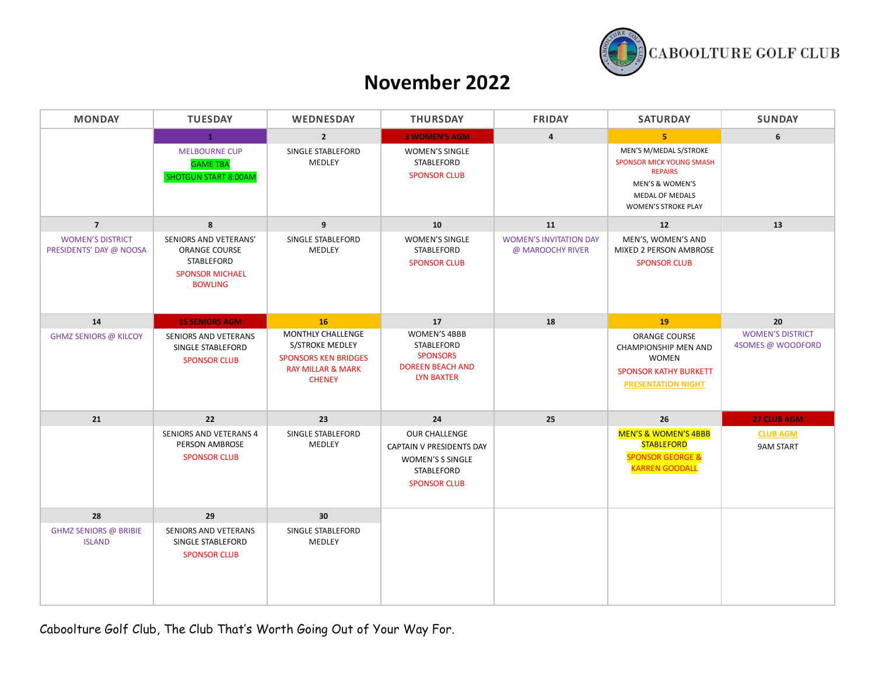

#### **November 2022**

| <b>MONDAY</b>                                      | <b>TUESDAY</b>                                                                                   | WEDNESDAY                                                                                                                   | <b>THURSDAY</b>                                                                                           | <b>FRIDAY</b>                                     | <b>SATURDAY</b>                                                                                                                                 | <b>SUNDAY</b>                                |
|----------------------------------------------------|--------------------------------------------------------------------------------------------------|-----------------------------------------------------------------------------------------------------------------------------|-----------------------------------------------------------------------------------------------------------|---------------------------------------------------|-------------------------------------------------------------------------------------------------------------------------------------------------|----------------------------------------------|
|                                                    | 1                                                                                                | $\overline{2}$                                                                                                              | <b>3 WOMEN'S AGM</b>                                                                                      | $\overline{4}$                                    | 5 <sup>1</sup>                                                                                                                                  | 6                                            |
|                                                    | <b>MELBOURNE CUP</b><br><b>GAME TBA</b><br><b>SHOTGUN START 8:00AM</b>                           | SINGLE STABLEFORD<br>MEDLEY                                                                                                 | <b>WOMEN'S SINGLE</b><br>STABLEFORD<br><b>SPONSOR CLUB</b>                                                |                                                   | MEN'S M/MEDAL S/STROKE<br><b>SPONSOR MICK YOUNG SMASH</b><br><b>REPAIRS</b><br>MEN'S & WOMEN'S<br>MEDAL OF MEDALS<br><b>WOMEN'S STROKE PLAY</b> |                                              |
| $\overline{7}$                                     | 8                                                                                                | 9                                                                                                                           | 10                                                                                                        | 11                                                | 12                                                                                                                                              | 13                                           |
| <b>WOMEN'S DISTRICT</b><br>PRESIDENTS' DAY @ NOOSA | SENIORS AND VETERANS'<br>ORANGE COURSE<br>STABLEFORD<br><b>SPONSOR MICHAEL</b><br><b>BOWLING</b> | SINGLE STABLEFORD<br>MEDLEY                                                                                                 | WOMEN'S SINGLE<br><b>STABLEFORD</b><br><b>SPONSOR CLUB</b>                                                | <b>WOMEN'S INVITATION DAY</b><br>@ MAROOCHY RIVER | MEN'S, WOMEN'S AND<br>MIXED 2 PERSON AMBROSE<br><b>SPONSOR CLUB</b>                                                                             |                                              |
| 14                                                 | <b>15 SENIORS AGM</b>                                                                            | <b>16</b>                                                                                                                   | 17                                                                                                        | 18                                                | 19                                                                                                                                              | 20                                           |
| <b>GHMZ SENIORS @ KILCOY</b>                       | SENIORS AND VETERANS<br>SINGLE STABLEFORD<br><b>SPONSOR CLUB</b>                                 | <b>MONTHLY CHALLENGE</b><br>S/STROKE MEDLEY<br><b>SPONSORS KEN BRIDGES</b><br><b>RAY MILLAR &amp; MARK</b><br><b>CHENEY</b> | WOMEN'S 4BBB<br>STABLEFORD<br><b>SPONSORS</b><br><b>DOREEN BEACH AND</b><br><b>LYN BAXTER</b>             |                                                   | <b>ORANGE COURSE</b><br>CHAMPIONSHIP MEN AND<br><b>WOMEN</b><br><b>SPONSOR KATHY BURKETT</b><br><b>PRESENTATION NIGHT</b>                       | <b>WOMEN'S DISTRICT</b><br>4SOMES @ WOODFORD |
| 21                                                 | 22                                                                                               | 23                                                                                                                          | 24                                                                                                        | 25                                                | 26                                                                                                                                              | <b>27 CLUB AGM</b>                           |
|                                                    | SENIORS AND VETERANS 4<br>PERSON AMBROSE<br><b>SPONSOR CLUB</b>                                  | SINGLE STABLEFORD<br>MEDLEY                                                                                                 | OUR CHALLENGE<br>CAPTAIN V PRESIDENTS DAY<br>WOMEN'S S SINGLE<br><b>STABLEFORD</b><br><b>SPONSOR CLUB</b> |                                                   | <b>MEN'S &amp; WOMEN'S 4BBB</b><br><b>STABLEFORD</b><br><b>SPONSOR GEORGE &amp;</b><br><b>KARREN GOODALL</b>                                    | <b>CLUB AGM</b><br><b>9AM START</b>          |
| 28                                                 | 29                                                                                               | 30 <sup>°</sup>                                                                                                             |                                                                                                           |                                                   |                                                                                                                                                 |                                              |
| <b>GHMZ SENIORS @ BRIBIE</b><br><b>ISLAND</b>      | <b>SENIORS AND VETERANS</b><br>SINGLE STABLEFORD<br><b>SPONSOR CLUB</b>                          | SINGLE STABLEFORD<br>MEDLEY                                                                                                 |                                                                                                           |                                                   |                                                                                                                                                 |                                              |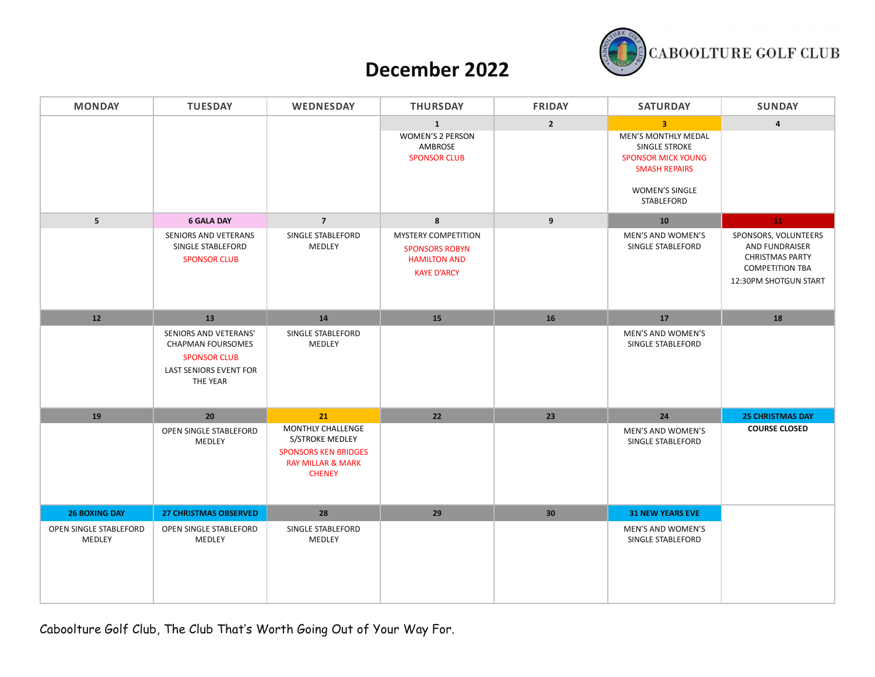

#### **December 2022**

| <b>MONDAY</b>                    | <b>TUESDAY</b>                                                                                                        | <b>WEDNESDAY</b>                                                                                                     | <b>THURSDAY</b>                                                                           | <b>FRIDAY</b>   | <b>SATURDAY</b>                                                                                                                                           | <b>SUNDAY</b>                                                                                                       |
|----------------------------------|-----------------------------------------------------------------------------------------------------------------------|----------------------------------------------------------------------------------------------------------------------|-------------------------------------------------------------------------------------------|-----------------|-----------------------------------------------------------------------------------------------------------------------------------------------------------|---------------------------------------------------------------------------------------------------------------------|
|                                  |                                                                                                                       |                                                                                                                      | $\mathbf{1}$<br>WOMEN'S 2 PERSON<br>AMBROSE<br><b>SPONSOR CLUB</b>                        | $2^{\circ}$     | $\overline{3}$<br><b>MEN'S MONTHLY MEDAL</b><br>SINGLE STROKE<br><b>SPONSOR MICK YOUNG</b><br><b>SMASH REPAIRS</b><br><b>WOMEN'S SINGLE</b><br>STABLEFORD | $\overline{4}$                                                                                                      |
| $5\phantom{.0}$                  | <b>6 GALA DAY</b>                                                                                                     | $\overline{7}$                                                                                                       | $\boldsymbol{8}$                                                                          | 9               | 10                                                                                                                                                        | ${\bf 11}^-$                                                                                                        |
|                                  | SENIORS AND VETERANS<br>SINGLE STABLEFORD<br><b>SPONSOR CLUB</b>                                                      | SINGLE STABLEFORD<br>MEDLEY                                                                                          | MYSTERY COMPETITION<br><b>SPONSORS ROBYN</b><br><b>HAMILTON AND</b><br><b>KAYE D'ARCY</b> |                 | MEN'S AND WOMEN'S<br>SINGLE STABLEFORD                                                                                                                    | SPONSORS, VOLUNTEERS<br>AND FUNDRAISER<br><b>CHRISTMAS PARTY</b><br><b>COMPETITION TBA</b><br>12:30PM SHOTGUN START |
| $12\,$                           | 13                                                                                                                    | ${\bf 14}$                                                                                                           | 15                                                                                        | ${\bf 16}$      | 17                                                                                                                                                        | 18                                                                                                                  |
|                                  | SENIORS AND VETERANS'<br><b>CHAPMAN FOURSOMES</b><br><b>SPONSOR CLUB</b><br><b>LAST SENIORS EVENT FOR</b><br>THE YEAR | SINGLE STABLEFORD<br>MEDLEY                                                                                          |                                                                                           |                 | MEN'S AND WOMEN'S<br>SINGLE STABLEFORD                                                                                                                    |                                                                                                                     |
| 19                               | 20                                                                                                                    | 21                                                                                                                   | 22                                                                                        | 23              | 24                                                                                                                                                        | <b>25 CHRISTMAS DAY</b>                                                                                             |
|                                  | OPEN SINGLE STABLEFORD<br>MEDLEY                                                                                      | MONTHLY CHALLENGE<br>S/STROKE MEDLEY<br><b>SPONSORS KEN BRIDGES</b><br><b>RAY MILLAR &amp; MARK</b><br><b>CHENEY</b> |                                                                                           |                 | MEN'S AND WOMEN'S<br>SINGLE STABLEFORD                                                                                                                    | <b>COURSE CLOSED</b>                                                                                                |
| <b>26 BOXING DAY</b>             | <b>27 CHRISTMAS OBSERVED</b>                                                                                          | 28                                                                                                                   | 29                                                                                        | 30 <sub>2</sub> | <b>31 NEW YEARS EVE</b>                                                                                                                                   |                                                                                                                     |
| OPEN SINGLE STABLEFORD<br>MEDLEY | OPEN SINGLE STABLEFORD<br>MEDLEY                                                                                      | SINGLE STABLEFORD<br>MEDLEY                                                                                          |                                                                                           |                 | MEN'S AND WOMEN'S<br>SINGLE STABLEFORD                                                                                                                    |                                                                                                                     |